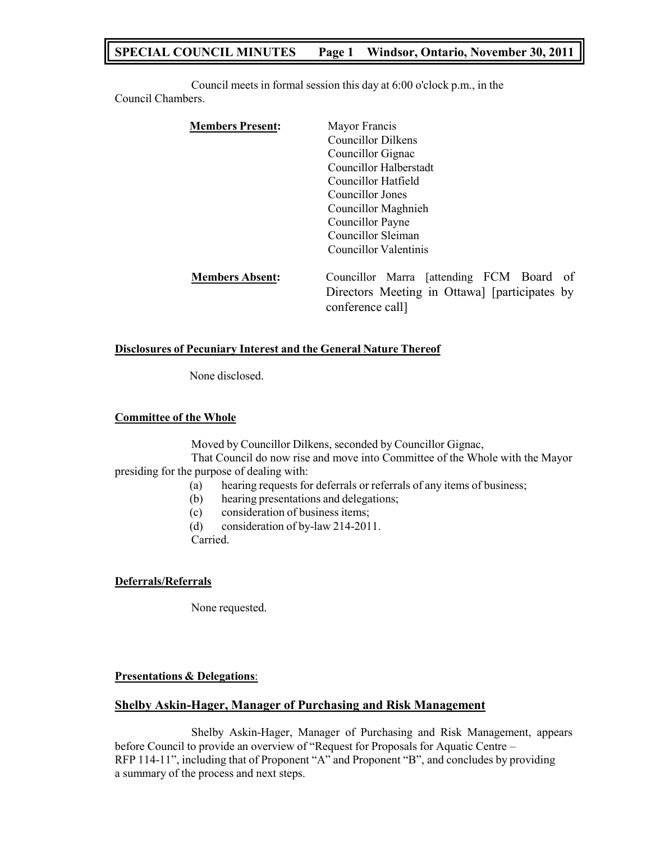# **SPECIAL COUNCIL MINUTES Page 1 Windsor, Ontario, November 30, 2011**

Council meets in formal session this day at 6:00 o'clock p.m., in the Council Chambers.

| <b>Members Present:</b> | Mayor Francis                                 |
|-------------------------|-----------------------------------------------|
|                         | Councillor Dilkens                            |
|                         | Councillor Gignac                             |
|                         | Councillor Halberstadt                        |
|                         | Councillor Hatfield                           |
|                         | Councillor Jones                              |
|                         | Councillor Maghnieh                           |
|                         | Councillor Payne                              |
|                         | Councillor Sleiman                            |
|                         | Councillor Valentinis                         |
| <b>Members Absent:</b>  | Councillor Marra [attending FCM Board of      |
|                         | Directors Meeting in Ottawa] [participates by |
|                         | conference call                               |

#### **Disclosures of Pecuniary Interest and the General Nature Thereof**

None disclosed.

#### **Committee of the Whole**

Moved by Councillor Dilkens, seconded by Councillor Gignac, That Council do now rise and move into Committee of the Whole with the Mayor presiding for the purpose of dealing with:

- (a) hearing requests for deferrals or referrals of any items of business;
- (b) hearing presentations and delegations;
- (c) consideration of business items;

(d) consideration of by-law 214-2011.

Carried.

# **Deferrals/Referrals**

None requested.

# **Presentations & Delegations**:

# **Shelby Askin-Hager, Manager of Purchasing and Risk Management**

Shelby Askin-Hager, Manager of Purchasing and Risk Management, appears before Council to provide an overview of "Request for Proposals for Aquatic Centre – RFP 114-11", including that of Proponent "A" and Proponent "B", and concludes by providing a summary of the process and next steps.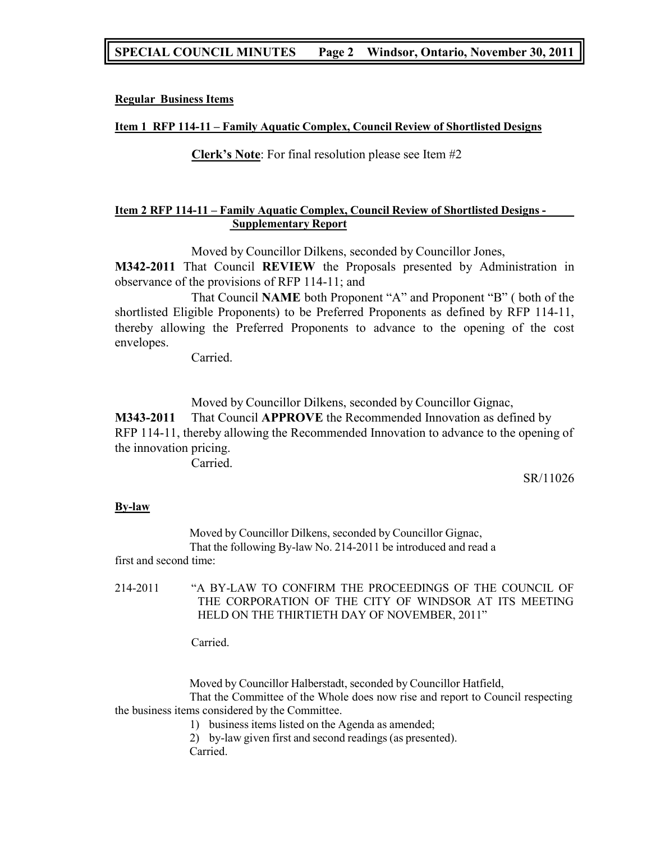# **SPECIAL COUNCIL MINUTES Page 2 Windsor, Ontario, November 30, 2011**

### **Regular Business Items**

#### **Item 1 RFP 114-11 – Family Aquatic Complex, Council Review of Shortlisted Designs**

**Clerk's Note**: For final resolution please see Item #2

# **Item 2 RFP 114-11 – Family Aquatic Complex, Council Review of Shortlisted Designs - Supplementary Report**

Moved by Councillor Dilkens, seconded by Councillor Jones,

**M342-2011** That Council **REVIEW** the Proposals presented by Administration in observance of the provisions of RFP 114-11; and

That Council **NAME** both Proponent "A" and Proponent "B" ( both of the shortlisted Eligible Proponents) to be Preferred Proponents as defined by RFP 114-11, thereby allowing the Preferred Proponents to advance to the opening of the cost envelopes.

Carried.

Moved by Councillor Dilkens, seconded by Councillor Gignac, **M343-2011** That Council **APPROVE** the Recommended Innovation as defined by RFP 114-11, thereby allowing the Recommended Innovation to advance to the opening of the innovation pricing.

Carried.

SR/11026

#### **By-law**

Moved by Councillor Dilkens, seconded by Councillor Gignac, That the following By-law No. 214-2011 be introduced and read a first and second time:

214-2011 "A BY-LAW TO CONFIRM THE PROCEEDINGS OF THE COUNCIL OF THE CORPORATION OF THE CITY OF WINDSOR AT ITS MEETING HELD ON THE THIRTIETH DAY OF NOVEMBER, 2011"

Carried.

Moved by Councillor Halberstadt, seconded by Councillor Hatfield, That the Committee of the Whole does now rise and report to Council respecting the business items considered by the Committee.

1) business items listed on the Agenda as amended;

2) by-law given first and second readings (as presented). Carried.